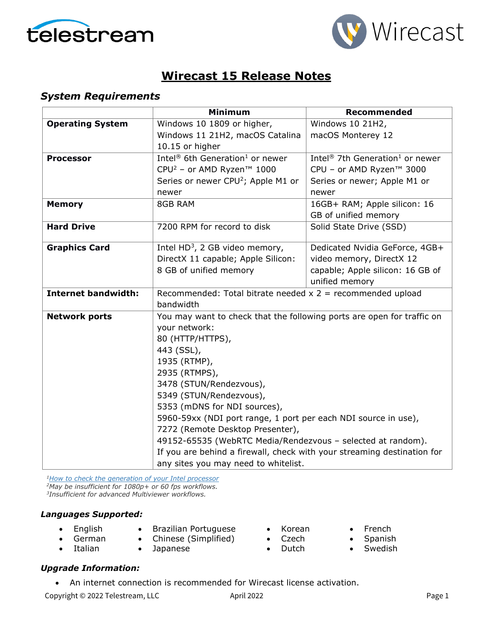



# **Wirecast 15 Release Notes**

### *System Requirements*

|                            | Minimum                                                                                                                                                                                                                                                                              | <b>Recommended</b>                                      |  |
|----------------------------|--------------------------------------------------------------------------------------------------------------------------------------------------------------------------------------------------------------------------------------------------------------------------------------|---------------------------------------------------------|--|
| <b>Operating System</b>    | Windows 10 1809 or higher,                                                                                                                                                                                                                                                           | Windows 10 21H2,                                        |  |
|                            | Windows 11 21H2, macOS Catalina                                                                                                                                                                                                                                                      | macOS Monterey 12                                       |  |
|                            | 10.15 or higher                                                                                                                                                                                                                                                                      |                                                         |  |
| <b>Processor</b>           | Intel <sup>®</sup> 6th Generation <sup>1</sup> or newer                                                                                                                                                                                                                              | Intel <sup>®</sup> 7th Generation <sup>1</sup> or newer |  |
|                            | CPU <sup>2</sup> - or AMD Ryzen™ 1000                                                                                                                                                                                                                                                | CPU - or AMD Ryzen™ 3000                                |  |
|                            | Series or newer CPU <sup>2</sup> ; Apple M1 or                                                                                                                                                                                                                                       | Series or newer; Apple M1 or                            |  |
|                            | newer                                                                                                                                                                                                                                                                                | newer                                                   |  |
| <b>Memory</b>              | 8GB RAM                                                                                                                                                                                                                                                                              | 16GB+ RAM; Apple silicon: 16                            |  |
|                            |                                                                                                                                                                                                                                                                                      | GB of unified memory                                    |  |
| <b>Hard Drive</b>          | 7200 RPM for record to disk                                                                                                                                                                                                                                                          | Solid State Drive (SSD)                                 |  |
|                            |                                                                                                                                                                                                                                                                                      |                                                         |  |
| <b>Graphics Card</b>       | Intel $HD^3$ , 2 GB video memory,                                                                                                                                                                                                                                                    | Dedicated Nvidia GeForce, 4GB+                          |  |
|                            | DirectX 11 capable; Apple Silicon:                                                                                                                                                                                                                                                   | video memory, DirectX 12                                |  |
|                            | 8 GB of unified memory                                                                                                                                                                                                                                                               | capable; Apple silicon: 16 GB of                        |  |
|                            |                                                                                                                                                                                                                                                                                      | unified memory                                          |  |
| <b>Internet bandwidth:</b> | Recommended: Total bitrate needed $x$ 2 = recommended upload                                                                                                                                                                                                                         |                                                         |  |
|                            | bandwidth                                                                                                                                                                                                                                                                            |                                                         |  |
| <b>Network ports</b>       | You may want to check that the following ports are open for traffic on                                                                                                                                                                                                               |                                                         |  |
|                            | your network:                                                                                                                                                                                                                                                                        |                                                         |  |
|                            | 80 (HTTP/HTTPS),                                                                                                                                                                                                                                                                     |                                                         |  |
|                            | 443 (SSL),<br>1935 (RTMP),<br>2935 (RTMPS),<br>3478 (STUN/Rendezvous),<br>5349 (STUN/Rendezvous),                                                                                                                                                                                    |                                                         |  |
|                            |                                                                                                                                                                                                                                                                                      |                                                         |  |
|                            |                                                                                                                                                                                                                                                                                      |                                                         |  |
|                            |                                                                                                                                                                                                                                                                                      |                                                         |  |
|                            |                                                                                                                                                                                                                                                                                      |                                                         |  |
|                            | 5353 (mDNS for NDI sources),                                                                                                                                                                                                                                                         |                                                         |  |
|                            | 5960-59xx (NDI port range, 1 port per each NDI source in use),<br>7272 (Remote Desktop Presenter),<br>49152-65535 (WebRTC Media/Rendezvous - selected at random).<br>If you are behind a firewall, check with your streaming destination for<br>any sites you may need to whitelist. |                                                         |  |
|                            |                                                                                                                                                                                                                                                                                      |                                                         |  |
|                            |                                                                                                                                                                                                                                                                                      |                                                         |  |
|                            |                                                                                                                                                                                                                                                                                      |                                                         |  |
|                            |                                                                                                                                                                                                                                                                                      |                                                         |  |

*[1How to check the generation of your Intel](http://www.telestream.net/telestream-support/wire-cast/faq.htm?kbURL=http://telestream.force.com/kb/articles/Knowledge_Article/Wirecast-How-to-check-the-generation-of-your-Intel-processor/) processor 2May be insufficient for 1080p+ or 60 fps workflows. 3Insufficient for advanced Multiviewer workflows.*

#### *Languages Supported:*

- English
- Brazilian Portuguese
- German • Italian
- Chinese (Simplified) • Japanese
- Korean
- Czech • Dutch
- French
- Spanish
- Swedish

### *Upgrade Information:*

• An internet connection is recommended for Wirecast license activation.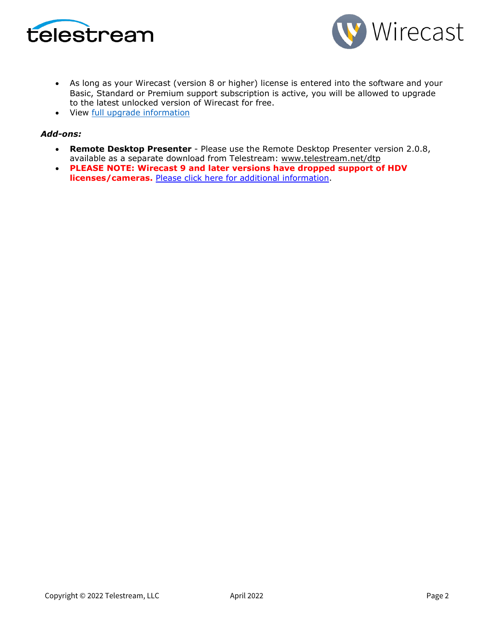



- As long as your Wirecast (version 8 or higher) license is entered into the software and your Basic, Standard or Premium support subscription is active, you will be allowed to upgrade to the latest unlocked version of Wirecast for free.
- View [full upgrade information](http://www.telestream.net/wirecast/upgrade.htm#update)

### *Add-ons:*

- **Remote Desktop Presenter**  Please use the Remote Desktop Presenter version 2.0.8, available as a separate download from Telestream: [www.telestream.net/dtp](http://www.telestream.net/dtp)
- **PLEASE NOTE: Wirecast 9 and later versions have dropped support of HDV licenses/cameras.** [Please click here for additional information.](http://www.telestream.net/telestream-support/wire-cast/faq.htm?kbURL=http://telestream.force.com/kb/articles/Knowledge_Article/Wirecast-HDV-Firewire-No-longer-Supported/)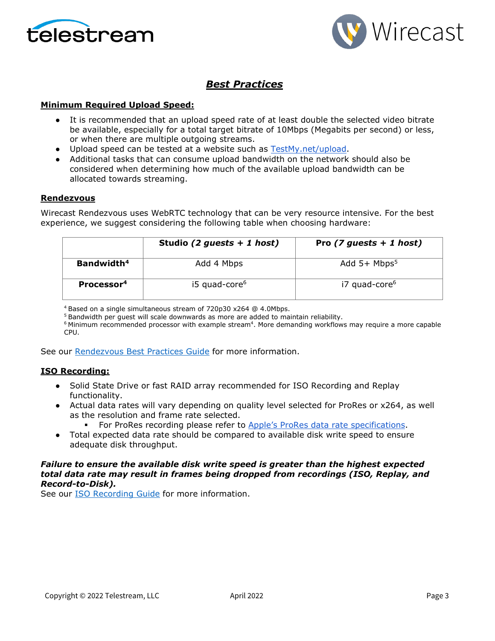



## *Best Practices*

### **Minimum Required Upload Speed:**

- It is recommended that an upload speed rate of at least double the selected video bitrate be available, especially for a total target bitrate of 10Mbps (Megabits per second) or less, or when there are multiple outgoing streams.
- Upload speed can be tested at a website such as [TestMy.net/upload.](http://testmy.net/upload)
- Additional tasks that can consume upload bandwidth on the network should also be considered when determining how much of the available upload bandwidth can be allocated towards streaming.

#### **Rendezvous**

Wirecast Rendezvous uses WebRTC technology that can be very resource intensive. For the best experience, we suggest considering the following table when choosing hardware:

|                        | Studio (2 guests $+ 1$ host) | Pro $(7 \text{ guests} + 1 \text{ host})$ |
|------------------------|------------------------------|-------------------------------------------|
| Bandwidth <sup>4</sup> | Add 4 Mbps                   | Add $5+$ Mbps <sup>5</sup>                |
| Processor <sup>4</sup> | i5 quad-core <sup>6</sup>    | i7 quad-core <sup>6</sup>                 |

4 Based on a single simultaneous stream of 720p30 x264 @ 4.0Mbps.

<sup>5</sup> Bandwidth per guest will scale downwards as more are added to maintain reliability.

 $6$  Minimum recommended processor with example stream $4$ . More demanding workflows may require a more capable CPU.

See our [Rendezvous Best Practices Guide](http://www.telestream.net/pdfs/technical/Wirecast-Rendezvous-Best-Practices-Guide.pdf) for more information.

#### **ISO Recording:**

- Solid State Drive or fast RAID array recommended for ISO Recording and Replay functionality.
- Actual data rates will vary depending on quality level selected for ProRes or x264, as well as the resolution and frame rate selected.
	- For ProRes recording please refer to [Apple's ProRes data rate specifications.](https://en.wikipedia.org/wiki/Apple_ProRes#ProRes-Overview)
- Total expected data rate should be compared to available disk write speed to ensure adequate disk throughput.

### *Failure to ensure the available disk write speed is greater than the highest expected total data rate may result in frames being dropped from recordings (ISO, Replay, and Record-to-Disk).*

See our [ISO Recording Guide](https://www.telestream.net/pdfs/technical/Wirecast-ISO-Best-Practices-Guide.pdf) for more information.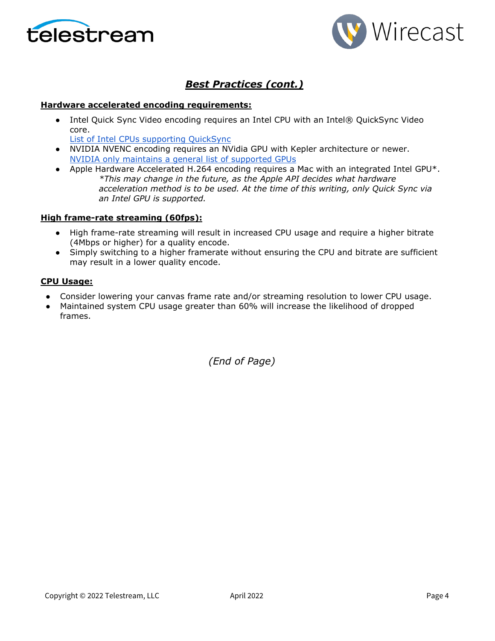



# *Best Practices (cont.)*

### **Hardware accelerated encoding requirements:**

• Intel Quick Sync Video encoding requires an Intel CPU with an Intel® QuickSync Video core[.](http://ark.intel.com/search/advanced?QuickSyncVideo=true&MarketSegment=DT) 

[List of Intel CPUs supporting QuickSync](https://ark.intel.com/content/www/us/en/ark/search/featurefilter.html?productType=873&0_QuickSyncVideo=True)

- NVIDIA NVENC encoding requires an NVidia GPU with Kepler architecture or newer[.](https://developer.nvidia.com/nvidia-video-codec-sdk) [NVIDIA only maintains a general list of supported GPUs](https://developer.nvidia.com/nvidia-video-codec-sdk)
- Apple Hardware Accelerated H.264 encoding requires a Mac with an integrated Intel GPU\*. *\*This may change in the future, as the Apple API decides what hardware acceleration method is to be used. At the time of this writing, only Quick Sync via an Intel GPU is supported.*

### **High frame-rate streaming (60fps):**

- High frame-rate streaming will result in increased CPU usage and require a higher bitrate (4Mbps or higher) for a quality encode.
- Simply switching to a higher framerate without ensuring the CPU and bitrate are sufficient may result in a lower quality encode.

### **CPU Usage:**

- Consider lowering your canvas frame rate and/or streaming resolution to lower CPU usage.
- Maintained system CPU usage greater than 60% will increase the likelihood of dropped frames.

*(End of Page)*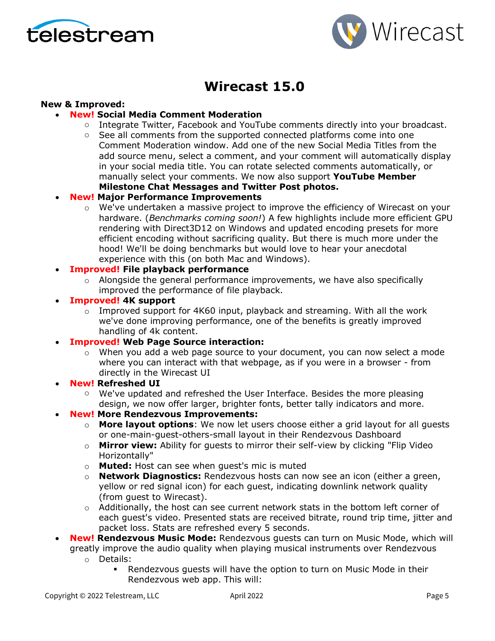



# **Wirecast 15.0**

### **New & Improved:**

- **New! Social Media Comment Moderation**
	- $\circ$  Integrate Twitter, Facebook and YouTube comments directly into your broadcast.
	- $\circ$  See all comments from the supported connected platforms come into one Comment Moderation window. Add one of the new Social Media Titles from the add source menu, select a comment, and your comment will automatically display in your social media title. You can rotate selected comments automatically, or manually select your comments. We now also support **YouTube Member Milestone Chat Messages and Twitter Post photos.**

### • **New! Major Performance Improvements**

 $\circ$  We've undertaken a massive project to improve the efficiency of Wirecast on your hardware. (*Benchmarks coming soon!*) A few highlights include more efficient GPU rendering with Direct3D12 on Windows and updated encoding presets for more efficient encoding without sacrificing quality. But there is much more under the hood! We'll be doing benchmarks but would love to hear your anecdotal experience with this (on both Mac and Windows).

### • **Improved! File playback performance**

- $\circ$  Alongside the general performance improvements, we have also specifically improved the performance of file playback.
- **Improved! 4K support** 
	- o Improved support for 4K60 input, playback and streaming. With all the work we've done improving performance, one of the benefits is greatly improved handling of 4k content.
- **Improved! Web Page Source interaction:** 
	- $\circ$  When you add a web page source to your document, you can now select a mode where you can interact with that webpage, as if you were in a browser - from directly in the Wirecast UI
- **New! Refreshed UI**
	- $\circ$  We've updated and refreshed the User Interface. Besides the more pleasing design, we now offer larger, brighter fonts, better tally indicators and more.
- **New! More Rendezvous Improvements:**
	- o **More layout options**: We now let users choose either a grid layout for all guests or one-main-guest-others-small layout in their Rendezvous Dashboard
	- o **Mirror view:** Ability for guests to mirror their self-view by clicking "Flip Video Horizontally"
	- o **Muted:** Host can see when guest's mic is muted
	- o **Network Diagnostics:** Rendezvous hosts can now see an icon (either a green, yellow or red signal icon) for each guest, indicating downlink network quality (from guest to Wirecast).
	- $\circ$  Additionally, the host can see current network stats in the bottom left corner of each guest's video. Presented stats are received bitrate, round trip time, jitter and packet loss. Stats are refreshed every 5 seconds.
- **New! Rendezvous Music Mode:** Rendezvous guests can turn on Music Mode, which will greatly improve the audio quality when playing musical instruments over Rendezvous
	- o Details:
		- Rendezvous guests will have the option to turn on Music Mode in their Rendezvous web app. This will: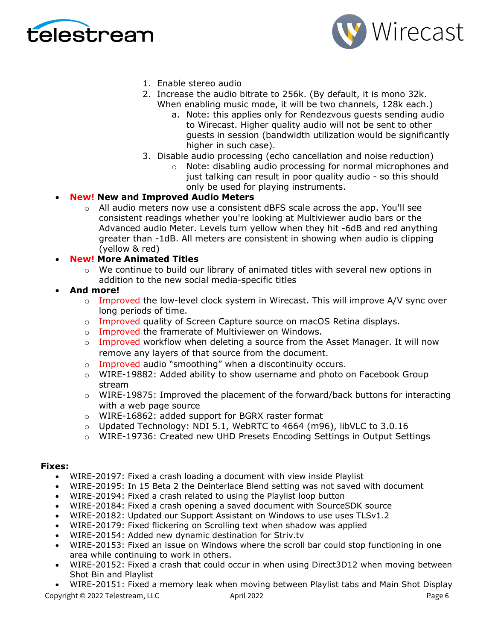



- 1. Enable stereo audio
- 2. Increase the audio bitrate to 256k. (By default, it is mono 32k. When enabling music mode, it will be two channels, 128k each.)
	- a. Note: this applies only for Rendezvous guests sending audio to Wirecast. Higher quality audio will not be sent to other guests in session (bandwidth utilization would be significantly higher in such case).
- 3. Disable audio processing (echo cancellation and noise reduction)
	- o Note: disabling audio processing for normal microphones and just talking can result in poor quality audio - so this should only be used for playing instruments.
- **New! New and Improved Audio Meters**
	- $\circ$  All audio meters now use a consistent dBFS scale across the app. You'll see consistent readings whether you're looking at Multiviewer audio bars or the Advanced audio Meter. Levels turn yellow when they hit -6dB and red anything greater than -1dB. All meters are consistent in showing when audio is clipping (yellow & red)
- **New! More Animated Titles**
	- $\circ$  We continue to build our library of animated titles with several new options in addition to the new social media-specific titles
- **And more!**
	- $\circ$  Improved the low-level clock system in Wirecast. This will improve A/V sync over long periods of time.
	- o Improved quality of Screen Capture source on macOS Retina displays.
	- o Improved the framerate of Multiviewer on Windows.
	- $\circ$  Improved workflow when deleting a source from the Asset Manager. It will now remove any layers of that source from the document.
	- o Improved audio "smoothing" when a discontinuity occurs.
	- $\circ$  WIRE-19882: Added ability to show username and photo on Facebook Group stream
	- $\circ$  WIRE-19875: Improved the placement of the forward/back buttons for interacting with a web page source
	- o WIRE-16862: added support for BGRX raster format
	- $\circ$  Updated Technology: NDI 5.1, WebRTC to 4664 (m96), libVLC to 3.0.16
	- o WIRE-19736: Created new UHD Presets Encoding Settings in Output Settings

### **Fixes:**

- WIRE-20197: Fixed a crash loading a document with view inside Playlist
- WIRE-20195: In 15 Beta 2 the Deinterlace Blend setting was not saved with document
- WIRE-20194: Fixed a crash related to using the Playlist loop button
- WIRE-20184: Fixed a crash opening a saved document with SourceSDK source
- WIRE-20182: Updated our Support Assistant on Windows to use uses TLSv1.2
- WIRE-20179: Fixed flickering on Scrolling text when shadow was applied
- WIRE-20154: Added new dynamic destination for Striv.tv
- WIRE-20153: Fixed an issue on Windows where the scroll bar could stop functioning in one area while continuing to work in others.
- WIRE-20152: Fixed a crash that could occur in when using Direct3D12 when moving between Shot Bin and Playlist

Copyright © 2022 Telestream, LLC April 2022 April 2022 Page 6 • WIRE-20151: Fixed a memory leak when moving between Playlist tabs and Main Shot Display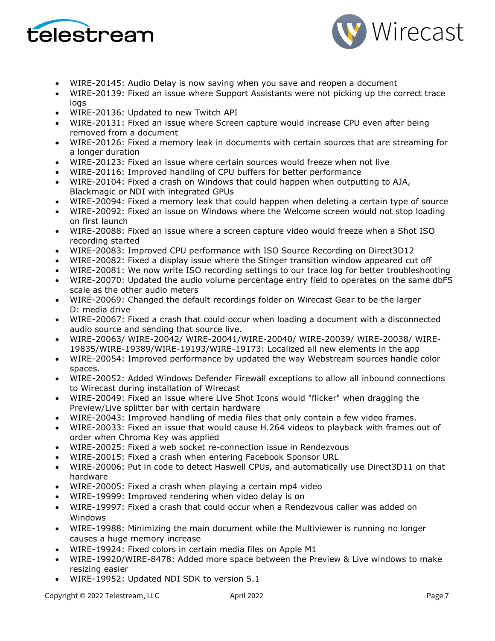



- WIRE-20145: Audio Delay is now saving when you save and reopen a document
- WIRE-20139: Fixed an issue where Support Assistants were not picking up the correct trace logs
- WIRE-20136: Updated to new Twitch API
- WIRE-20131: Fixed an issue where Screen capture would increase CPU even after being removed from a document
- WIRE-20126: Fixed a memory leak in documents with certain sources that are streaming for a longer duration
- WIRE-20123: Fixed an issue where certain sources would freeze when not live
- WIRE-20116: Improved handling of CPU buffers for better performance
- WIRE-20104: Fixed a crash on Windows that could happen when outputting to AJA, Blackmagic or NDI with integrated GPUs
- WIRE-20094: Fixed a memory leak that could happen when deleting a certain type of source
- WIRE-20092: Fixed an issue on Windows where the Welcome screen would not stop loading on first launch
- WIRE-20088: Fixed an issue where a screen capture video would freeze when a Shot ISO recording started
- WIRE-20083: Improved CPU performance with ISO Source Recording on Direct3D12
- WIRE-20082: Fixed a display issue where the Stinger transition window appeared cut off
- WIRE-20081: We now write ISO recording settings to our trace log for better troubleshooting
- WIRE-20070: Updated the audio volume percentage entry field to operates on the same dbFS scale as the other audio meters
- WIRE-20069: Changed the default recordings folder on Wirecast Gear to be the larger D: media drive
- WIRE-20067: Fixed a crash that could occur when loading a document with a disconnected audio source and sending that source live.
- WIRE-20063/ WIRE-20042/ WIRE-20041/WIRE-20040/ WIRE-20039/ WIRE-20038/ WIRE-19835/WIRE-19389/WIRE-19193/WIRE-19173: Localized all new elements in the app
- WIRE-20054: Improved performance by updated the way Webstream sources handle color spaces.
- WIRE-20052: Added Windows Defender Firewall exceptions to allow all inbound connections to Wirecast during installation of Wirecast
- WIRE-20049: Fixed an issue where Live Shot Icons would "flicker" when dragging the Preview/Live splitter bar with certain hardware
- WIRE-20043: Improved handling of media files that only contain a few video frames.
- WIRE-20033: Fixed an issue that would cause H.264 videos to playback with frames out of order when Chroma Key was applied
- WIRE-20025: Fixed a web socket re-connection issue in Rendezvous
- WIRE-20015: Fixed a crash when entering Facebook Sponsor URL
- WIRE-20006: Put in code to detect Haswell CPUs, and automatically use Direct3D11 on that hardware
- WIRE-20005: Fixed a crash when playing a certain mp4 video
- WIRE-19999: Improved rendering when video delay is on
- WIRE-19997: Fixed a crash that could occur when a Rendezvous caller was added on Windows
- WIRE-19988: Minimizing the main document while the Multiviewer is running no longer causes a huge memory increase
- WIRE-19924: Fixed colors in certain media files on Apple M1
- WIRE-19920/WIRE-8478: Added more space between the Preview & Live windows to make resizing easier
- WIRE-19952: Updated NDI SDK to version 5.1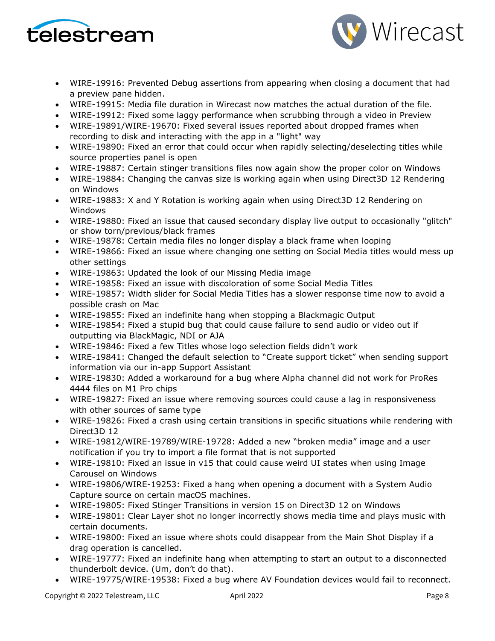



- WIRE-19916: Prevented Debug assertions from appearing when closing a document that had a preview pane hidden.
- WIRE-19915: Media file duration in Wirecast now matches the actual duration of the file.
- WIRE-19912: Fixed some laggy performance when scrubbing through a video in Preview
- WIRE-19891/WIRE-19670: Fixed several issues reported about dropped frames when recording to disk and interacting with the app in a "light" way
- WIRE-19890: Fixed an error that could occur when rapidly selecting/deselecting titles while source properties panel is open
- WIRE-19887: Certain stinger transitions files now again show the proper color on Windows
- WIRE-19884: Changing the canvas size is working again when using Direct3D 12 Rendering on Windows
- WIRE-19883: X and Y Rotation is working again when using Direct3D 12 Rendering on Windows
- WIRE-19880: Fixed an issue that caused secondary display live output to occasionally "glitch" or show torn/previous/black frames
- WIRE-19878: Certain media files no longer display a black frame when looping
- WIRE-19866: Fixed an issue where changing one setting on Social Media titles would mess up other settings
- WIRE-19863: Updated the look of our Missing Media image
- WIRE-19858: Fixed an issue with discoloration of some Social Media Titles
- WIRE-19857: Width slider for Social Media Titles has a slower response time now to avoid a possible crash on Mac
- WIRE-19855: Fixed an indefinite hang when stopping a Blackmagic Output
- WIRE-19854: Fixed a stupid bug that could cause failure to send audio or video out if outputting via BlackMagic, NDI or AJA
- WIRE-19846: Fixed a few Titles whose logo selection fields didn't work
- WIRE-19841: Changed the default selection to "Create support ticket" when sending support information via our in-app Support Assistant
- WIRE-19830: Added a workaround for a bug where Alpha channel did not work for ProRes 4444 files on M1 Pro chips
- WIRE-19827: Fixed an issue where removing sources could cause a lag in responsiveness with other sources of same type
- WIRE-19826: Fixed a crash using certain transitions in specific situations while rendering with Direct3D 12
- WIRE-19812/WIRE-19789/WIRE-19728: Added a new "broken media" image and a user notification if you try to import a file format that is not supported
- WIRE-19810: Fixed an issue in v15 that could cause weird UI states when using Image Carousel on Windows
- WIRE-19806/WIRE-19253: Fixed a hang when opening a document with a System Audio Capture source on certain macOS machines.
- WIRE-19805: Fixed Stinger Transitions in version 15 on Direct3D 12 on Windows
- WIRE-19801: Clear Layer shot no longer incorrectly shows media time and plays music with certain documents.
- WIRE-19800: Fixed an issue where shots could disappear from the Main Shot Display if a drag operation is cancelled.
- WIRE-19777: Fixed an indefinite hang when attempting to start an output to a disconnected thunderbolt device. (Um, don't do that).
- WIRE-19775/WIRE-19538: Fixed a bug where AV Foundation devices would fail to reconnect.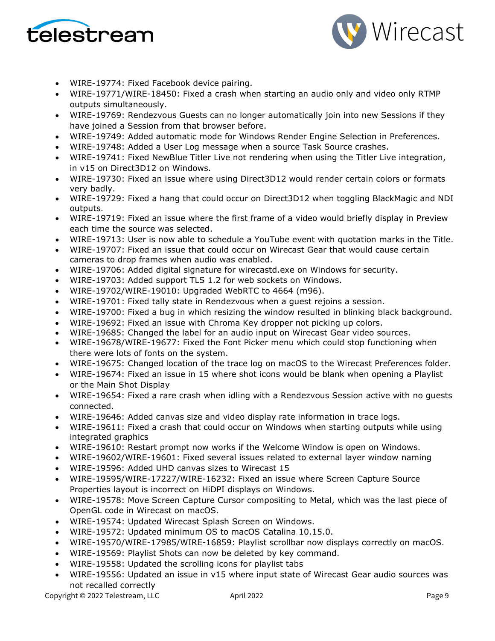



- WIRE-19774: Fixed Facebook device pairing.
- WIRE-19771/WIRE-18450: Fixed a crash when starting an audio only and video only RTMP outputs simultaneously.
- WIRE-19769: Rendezvous Guests can no longer automatically join into new Sessions if they have joined a Session from that browser before.
- WIRE-19749: Added automatic mode for Windows Render Engine Selection in Preferences.
- WIRE-19748: Added a User Log message when a source Task Source crashes.
- WIRE-19741: Fixed NewBlue Titler Live not rendering when using the Titler Live integration, in v15 on Direct3D12 on Windows.
- WIRE-19730: Fixed an issue where using Direct3D12 would render certain colors or formats very badly.
- WIRE-19729: Fixed a hang that could occur on Direct3D12 when toggling BlackMagic and NDI outputs.
- WIRE-19719: Fixed an issue where the first frame of a video would briefly display in Preview each time the source was selected.
- WIRE-19713: User is now able to schedule a YouTube event with quotation marks in the Title.
- WIRE-19707: Fixed an issue that could occur on Wirecast Gear that would cause certain cameras to drop frames when audio was enabled.
- WIRE-19706: Added digital signature for wirecastd.exe on Windows for security.
- WIRE-19703: Added support TLS 1.2 for web sockets on Windows.
- WIRE-19702/WIRE-19010: Upgraded WebRTC to 4664 (m96).
- WIRE-19701: Fixed tally state in Rendezvous when a guest rejoins a session.
- WIRE-19700: Fixed a bug in which resizing the window resulted in blinking black background.
- WIRE-19692: Fixed an issue with Chroma Key dropper not picking up colors.
- WIRE-19685: Changed the label for an audio input on Wirecast Gear video sources.
- WIRE-19678/WIRE-19677: Fixed the Font Picker menu which could stop functioning when there were lots of fonts on the system.
- WIRE-19675: Changed location of the trace log on macOS to the Wirecast Preferences folder.
- WIRE-19674: Fixed an issue in 15 where shot icons would be blank when opening a Playlist or the Main Shot Display
- WIRE-19654: Fixed a rare crash when idling with a Rendezvous Session active with no guests connected.
- WIRE-19646: Added canvas size and video display rate information in trace logs.
- WIRE-19611: Fixed a crash that could occur on Windows when starting outputs while using integrated graphics
- WIRE-19610: Restart prompt now works if the Welcome Window is open on Windows.
- WIRE-19602/WIRE-19601: Fixed several issues related to external layer window naming
- WIRE-19596: Added UHD canvas sizes to Wirecast 15
- WIRE-19595/WIRE-17227/WIRE-16232: Fixed an issue where Screen Capture Source Properties layout is incorrect on HiDPI displays on Windows.
- WIRE-19578: Move Screen Capture Cursor compositing to Metal, which was the last piece of OpenGL code in Wirecast on macOS.
- WIRE-19574: Updated Wirecast Splash Screen on Windows.
- WIRE-19572: Updated minimum OS to macOS Catalina 10.15.0.
- WIRE-19570/WIRE-17985/WIRE-16859: Playlist scrollbar now displays correctly on macOS.
- WIRE-19569: Playlist Shots can now be deleted by key command.
- WIRE-19558: Updated the scrolling icons for playlist tabs
- WIRE-19556: Updated an issue in v15 where input state of Wirecast Gear audio sources was not recalled correctly

Copyright © 2022 Telestream, LLC April 2022 April 2022 Page 9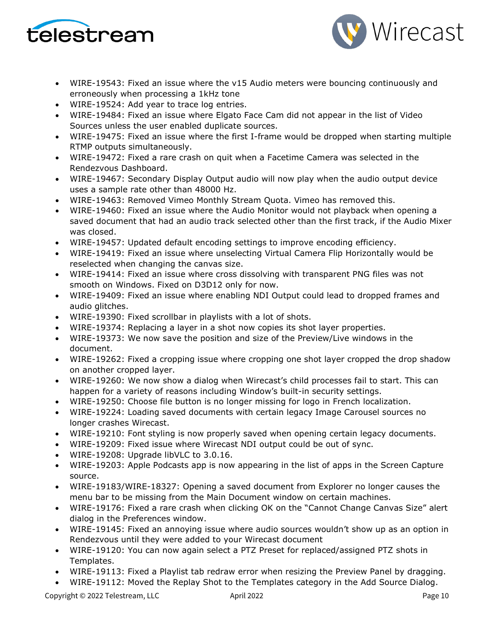



- WIRE-19543: Fixed an issue where the v15 Audio meters were bouncing continuously and erroneously when processing a 1kHz tone
- WIRE-19524: Add year to trace log entries.
- WIRE-19484: Fixed an issue where Elgato Face Cam did not appear in the list of Video Sources unless the user enabled duplicate sources.
- WIRE-19475: Fixed an issue where the first I-frame would be dropped when starting multiple RTMP outputs simultaneously.
- WIRE-19472: Fixed a rare crash on quit when a Facetime Camera was selected in the Rendezvous Dashboard.
- WIRE-19467: Secondary Display Output audio will now play when the audio output device uses a sample rate other than 48000 Hz.
- WIRE-19463: Removed Vimeo Monthly Stream Quota. Vimeo has removed this.
- WIRE-19460: Fixed an issue where the Audio Monitor would not playback when opening a saved document that had an audio track selected other than the first track, if the Audio Mixer was closed.
- WIRE-19457: Updated default encoding settings to improve encoding efficiency.
- WIRE-19419: Fixed an issue where unselecting Virtual Camera Flip Horizontally would be reselected when changing the canvas size.
- WIRE-19414: Fixed an issue where cross dissolving with transparent PNG files was not smooth on Windows. Fixed on D3D12 only for now.
- WIRE-19409: Fixed an issue where enabling NDI Output could lead to dropped frames and audio glitches.
- WIRE-19390: Fixed scrollbar in playlists with a lot of shots.
- WIRE-19374: Replacing a layer in a shot now copies its shot layer properties.
- WIRE-19373: We now save the position and size of the Preview/Live windows in the document.
- WIRE-19262: Fixed a cropping issue where cropping one shot layer cropped the drop shadow on another cropped layer.
- WIRE-19260: We now show a dialog when Wirecast's child processes fail to start. This can happen for a variety of reasons including Window's built-in security settings.
- WIRE-19250: Choose file button is no longer missing for logo in French localization.
- WIRE-19224: Loading saved documents with certain legacy Image Carousel sources no longer crashes Wirecast.
- WIRE-19210: Font styling is now properly saved when opening certain legacy documents.
- WIRE-19209: Fixed issue where Wirecast NDI output could be out of sync.
- WIRE-19208: Upgrade libVLC to 3.0.16.
- WIRE-19203: Apple Podcasts app is now appearing in the list of apps in the Screen Capture source.
- WIRE-19183/WIRE-18327: Opening a saved document from Explorer no longer causes the menu bar to be missing from the Main Document window on certain machines.
- WIRE-19176: Fixed a rare crash when clicking OK on the "Cannot Change Canvas Size" alert dialog in the Preferences window.
- WIRE-19145: Fixed an annoying issue where audio sources wouldn't show up as an option in Rendezvous until they were added to your Wirecast document
- WIRE-19120: You can now again select a PTZ Preset for replaced/assigned PTZ shots in Templates.
- WIRE-19113: Fixed a Playlist tab redraw error when resizing the Preview Panel by dragging.
- WIRE-19112: Moved the Replay Shot to the Templates category in the Add Source Dialog.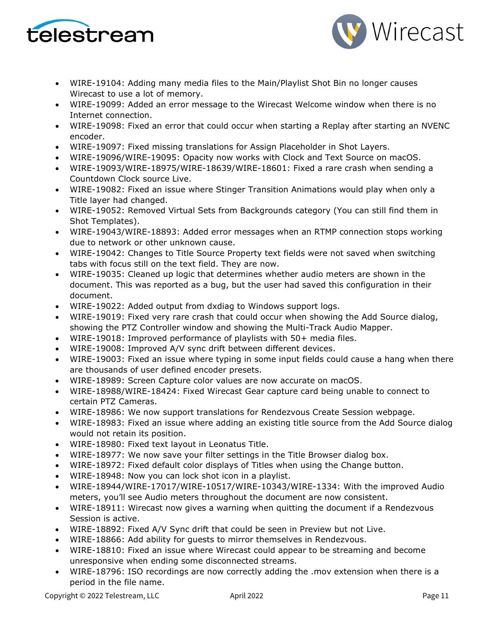



- WIRE-19104: Adding many media files to the Main/Playlist Shot Bin no longer causes Wirecast to use a lot of memory.
- WIRE-19099: Added an error message to the Wirecast Welcome window when there is no Internet connection.
- WIRE-19098: Fixed an error that could occur when starting a Replay after starting an NVENC encoder.
- WIRE-19097: Fixed missing translations for Assign Placeholder in Shot Layers.
- WIRE-19096/WIRE-19095: Opacity now works with Clock and Text Source on macOS.
- WIRE-19093/WIRE-18975/WIRE-18639/WIRE-18601: Fixed a rare crash when sending a Countdown Clock source Live.
- WIRE-19082: Fixed an issue where Stinger Transition Animations would play when only a Title layer had changed.
- WIRE-19052: Removed Virtual Sets from Backgrounds category (You can still find them in Shot Templates).
- WIRE-19043/WIRE-18893: Added error messages when an RTMP connection stops working due to network or other unknown cause.
- WIRE-19042: Changes to Title Source Property text fields were not saved when switching tabs with focus still on the text field. They are now.
- WIRE-19035: Cleaned up logic that determines whether audio meters are shown in the document. This was reported as a bug, but the user had saved this configuration in their document.
- WIRE-19022: Added output from dxdiag to Windows support logs.
- WIRE-19019: Fixed very rare crash that could occur when showing the Add Source dialog, showing the PTZ Controller window and showing the Multi-Track Audio Mapper.
- WIRE-19018: Improved performance of playlists with 50+ media files.
- WIRE-19008: Improved A/V sync drift between different devices.
- WIRE-19003: Fixed an issue where typing in some input fields could cause a hang when there are thousands of user defined encoder presets.
- WIRE-18989: Screen Capture color values are now accurate on macOS.
- WIRE-18988/WIRE-18424: Fixed Wirecast Gear capture card being unable to connect to certain PTZ Cameras.
- WIRE-18986: We now support translations for Rendezvous Create Session webpage.
- WIRE-18983: Fixed an issue where adding an existing title source from the Add Source dialog would not retain its position.
- WIRE-18980: Fixed text layout in Leonatus Title.
- WIRE-18977: We now save your filter settings in the Title Browser dialog box.
- WIRE-18972: Fixed default color displays of Titles when using the Change button.
- WIRE-18948: Now you can lock shot icon in a playlist.
- WIRE-18944/WIRE-17017/WIRE-10517/WIRE-10343/WIRE-1334: With the improved Audio meters, you'll see Audio meters throughout the document are now consistent.
- WIRE-18911: Wirecast now gives a warning when quitting the document if a Rendezvous Session is active.
- WIRE-18892: Fixed A/V Sync drift that could be seen in Preview but not Live.
- WIRE-18866: Add ability for guests to mirror themselves in Rendezvous.
- WIRE-18810: Fixed an issue where Wirecast could appear to be streaming and become unresponsive when ending some disconnected streams.
- WIRE-18796: ISO recordings are now correctly adding the .mov extension when there is a period in the file name.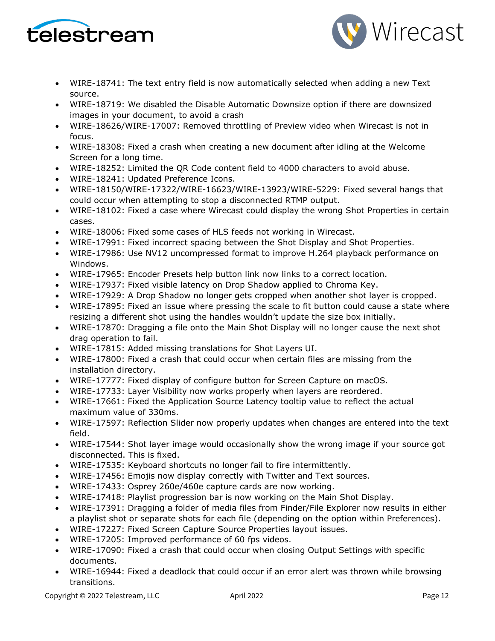



- WIRE-18741: The text entry field is now automatically selected when adding a new Text source.
- WIRE-18719: We disabled the Disable Automatic Downsize option if there are downsized images in your document, to avoid a crash
- WIRE-18626/WIRE-17007: Removed throttling of Preview video when Wirecast is not in focus.
- WIRE-18308: Fixed a crash when creating a new document after idling at the Welcome Screen for a long time.
- WIRE-18252: Limited the QR Code content field to 4000 characters to avoid abuse.
- WIRE-18241: Updated Preference Icons.
- WIRE-18150/WIRE-17322/WIRE-16623/WIRE-13923/WIRE-5229: Fixed several hangs that could occur when attempting to stop a disconnected RTMP output.
- WIRE-18102: Fixed a case where Wirecast could display the wrong Shot Properties in certain cases.
- WIRE-18006: Fixed some cases of HLS feeds not working in Wirecast.
- WIRE-17991: Fixed incorrect spacing between the Shot Display and Shot Properties.
- WIRE-17986: Use NV12 uncompressed format to improve H.264 playback performance on Windows.
- WIRE-17965: Encoder Presets help button link now links to a correct location.
- WIRE-17937: Fixed visible latency on Drop Shadow applied to Chroma Key.
- WIRE-17929: A Drop Shadow no longer gets cropped when another shot layer is cropped.
- WIRE-17895: Fixed an issue where pressing the scale to fit button could cause a state where resizing a different shot using the handles wouldn't update the size box initially.
- WIRE-17870: Dragging a file onto the Main Shot Display will no longer cause the next shot drag operation to fail.
- WIRE-17815: Added missing translations for Shot Layers UI.
- WIRE-17800: Fixed a crash that could occur when certain files are missing from the installation directory.
- WIRE-17777: Fixed display of configure button for Screen Capture on macOS.
- WIRE-17733: Layer Visibility now works properly when layers are reordered.
- WIRE-17661: Fixed the Application Source Latency tooltip value to reflect the actual maximum value of 330ms.
- WIRE-17597: Reflection Slider now properly updates when changes are entered into the text field.
- WIRE-17544: Shot layer image would occasionally show the wrong image if your source got disconnected. This is fixed.
- WIRE-17535: Keyboard shortcuts no longer fail to fire intermittently.
- WIRE-17456: Emojis now display correctly with Twitter and Text sources.
- WIRE-17433: Osprey 260e/460e capture cards are now working.
- WIRE-17418: Playlist progression bar is now working on the Main Shot Display.
- WIRE-17391: Dragging a folder of media files from Finder/File Explorer now results in either a playlist shot or separate shots for each file (depending on the option within Preferences).
- WIRE-17227: Fixed Screen Capture Source Properties layout issues.
- WIRE-17205: Improved performance of 60 fps videos.
- WIRE-17090: Fixed a crash that could occur when closing Output Settings with specific documents.
- WIRE-16944: Fixed a deadlock that could occur if an error alert was thrown while browsing transitions.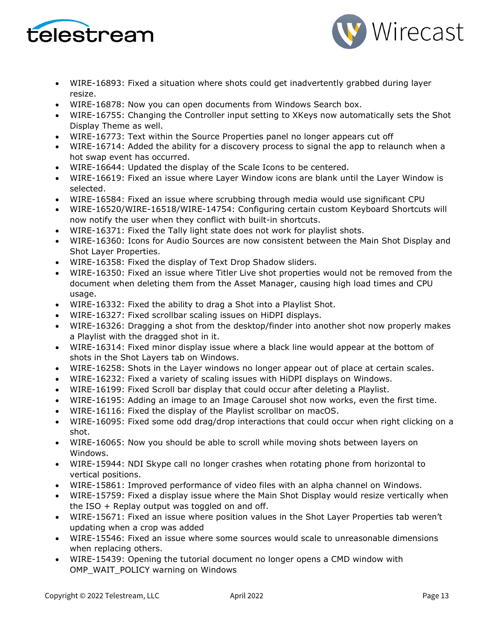



- WIRE-16893: Fixed a situation where shots could get inadvertently grabbed during layer resize.
- WIRE-16878: Now you can open documents from Windows Search box.
- WIRE-16755: Changing the Controller input setting to XKeys now automatically sets the Shot Display Theme as well.
- WIRE-16773: Text within the Source Properties panel no longer appears cut off
- WIRE-16714: Added the ability for a discovery process to signal the app to relaunch when a hot swap event has occurred.
- WIRE-16644: Updated the display of the Scale Icons to be centered.
- WIRE-16619: Fixed an issue where Layer Window icons are blank until the Layer Window is selected.
- WIRE-16584: Fixed an issue where scrubbing through media would use significant CPU
- WIRE-16520/WIRE-16518/WIRE-14754: Configuring certain custom Keyboard Shortcuts will now notify the user when they conflict with built-in shortcuts.
- WIRE-16371: Fixed the Tally light state does not work for playlist shots.
- WIRE-16360: Icons for Audio Sources are now consistent between the Main Shot Display and Shot Layer Properties.
- WIRE-16358: Fixed the display of Text Drop Shadow sliders.
- WIRE-16350: Fixed an issue where Titler Live shot properties would not be removed from the document when deleting them from the Asset Manager, causing high load times and CPU usage.
- WIRE-16332: Fixed the ability to drag a Shot into a Playlist Shot.
- WIRE-16327: Fixed scrollbar scaling issues on HiDPI displays.
- WIRE-16326: Dragging a shot from the desktop/finder into another shot now properly makes a Playlist with the dragged shot in it.
- WIRE-16314: Fixed minor display issue where a black line would appear at the bottom of shots in the Shot Layers tab on Windows.
- WIRE-16258: Shots in the Layer windows no longer appear out of place at certain scales.
- WIRE-16232: Fixed a variety of scaling issues with HiDPI displays on Windows.
- WIRE-16199: Fixed Scroll bar display that could occur after deleting a Playlist.
- WIRE-16195: Adding an image to an Image Carousel shot now works, even the first time.
- WIRE-16116: Fixed the display of the Playlist scrollbar on macOS.
- WIRE-16095: Fixed some odd drag/drop interactions that could occur when right clicking on a shot.
- WIRE-16065: Now you should be able to scroll while moving shots between layers on Windows.
- WIRE-15944: NDI Skype call no longer crashes when rotating phone from horizontal to vertical positions.
- WIRE-15861: Improved performance of video files with an alpha channel on Windows.
- WIRE-15759: Fixed a display issue where the Main Shot Display would resize vertically when the ISO  $+$  Replay output was toggled on and off.
- WIRE-15671: Fixed an issue where position values in the Shot Layer Properties tab weren't updating when a crop was added
- WIRE-15546: Fixed an issue where some sources would scale to unreasonable dimensions when replacing others.
- WIRE-15439: Opening the tutorial document no longer opens a CMD window with OMP\_WAIT\_POLICY warning on Windows